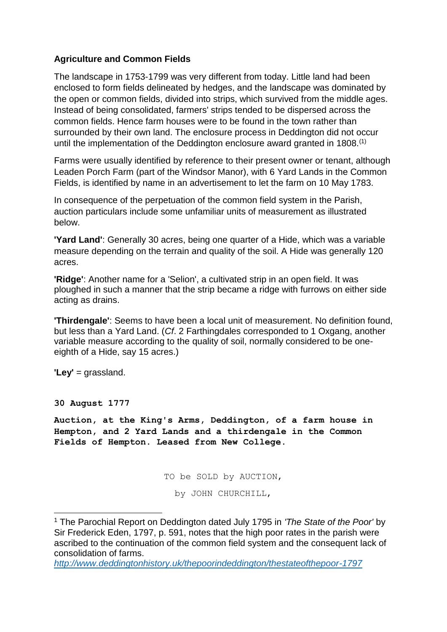# **Agriculture and Common Fields**

The landscape in 1753-1799 was very different from today. Little land had been enclosed to form fields delineated by hedges, and the landscape was dominated by the open or common fields, divided into strips, which survived from the middle ages. Instead of being consolidated, farmers' strips tended to be dispersed across the common fields. Hence farm houses were to be found in the town rather than surrounded by their own land. The enclosure process in Deddington did not occur until the implementation of the Deddington enclosure award granted in 1808.<sup>(1)</sup>

Farms were usually identified by reference to their present owner or tenant, although Leaden Porch Farm (part of the Windsor Manor), with 6 Yard Lands in the Common Fields, is identified by name in an advertisement to let the farm on 10 May 1783.

In consequence of the perpetuation of the common field system in the Parish, auction particulars include some unfamiliar units of measurement as illustrated below.

**'Yard Land'**: Generally 30 acres, being one quarter of a Hide, which was a variable measure depending on the terrain and quality of the soil. A Hide was generally 120 acres.

**'Ridge'**: Another name for a 'Selion', a cultivated strip in an open field. It was ploughed in such a manner that the strip became a ridge with furrows on either side acting as drains.

**'Thirdengale'**: Seems to have been a local unit of measurement. No definition found, but less than a Yard Land. (*Cf*. 2 Farthingdales corresponded to 1 Oxgang, another variable measure according to the quality of soil, normally considered to be oneeighth of a Hide, say 15 acres.)

**'Ley'** = grassland.

**30 August 1777**

**.** 

**Auction, at the King's Arms, Deddington, of a farm house in Hempton, and 2 Yard Lands and a thirdengale in the Common Fields of Hempton. Leased from New College.**

TO be SOLD by AUCTION,

by JOHN CHURCHILL,

<sup>1</sup> The Parochial Report on Deddington dated July 1795 in *'The State of the Poor'* by Sir Frederick Eden, 1797, p. 591, notes that the high poor rates in the parish were ascribed to the continuation of the common field system and the consequent lack of consolidation of farms.

*<http://www.deddingtonhistory.uk/thepoorindeddington/thestateofthepoor-1797>*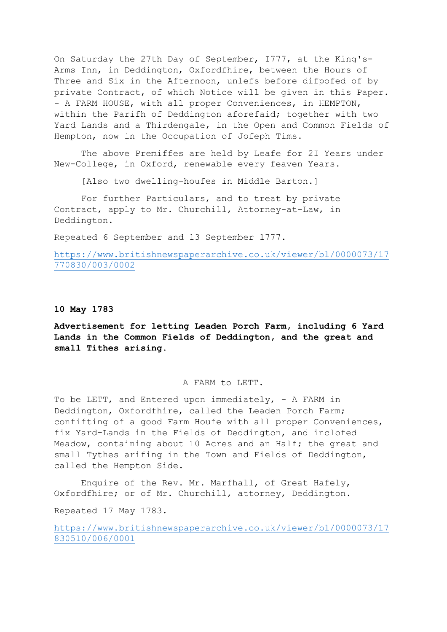On Saturday the 27th Day of September, I777, at the King's-Arms Inn, in Deddington, Oxfordfhire, between the Hours of Three and Six in the Afternoon, unlefs before difpofed of by private Contract, of which Notice will be given in this Paper. - A FARM HOUSE, with all proper Conveniences, in HEMPTON, within the Parifh of Deddington aforefaid; together with two Yard Lands and a Thirdengale, in the Open and Common Fields of Hempton, now in the Occupation of Jofeph Tims.

The above Premiffes are held by Leafe for 2I Years under New-College, in Oxford, renewable every feaven Years.

[Also two dwelling-houfes in Middle Barton.]

For further Particulars, and to treat by private Contract, apply to Mr. Churchill, Attorney-at-Law, in Deddington.

Repeated 6 September and 13 September 1777.

[https://www.britishnewspaperarchive.co.uk/viewer/bl/0000073/17](https://www.britishnewspaperarchive.co.uk/viewer/bl/0000073/17770830/003/0002) [770830/003/0002](https://www.britishnewspaperarchive.co.uk/viewer/bl/0000073/17770830/003/0002)

## **10 May 1783**

**Advertisement for letting Leaden Porch Farm, including 6 Yard Lands in the Common Fields of Deddington, and the great and small Tithes arising.**

### A FARM to LETT.

To be LETT, and Entered upon immediately, - A FARM in Deddington, Oxfordfhire, called the Leaden Porch Farm; confifting of a good Farm Houfe with all proper Conveniences, fix Yard-Lands in the Fields of Deddington, and inclofed Meadow, containing about 10 Acres and an Half; the great and small Tythes arifing in the Town and Fields of Deddington, called the Hempton Side.

Enquire of the Rev. Mr. Marfhall, of Great Hafely, Oxfordfhire; or of Mr. Churchill, attorney, Deddington.

Repeated 17 May 1783.

[https://www.britishnewspaperarchive.co.uk/viewer/bl/0000073/17](https://www.britishnewspaperarchive.co.uk/viewer/bl/0000073/17830510/006/0001) [830510/006/0001](https://www.britishnewspaperarchive.co.uk/viewer/bl/0000073/17830510/006/0001)